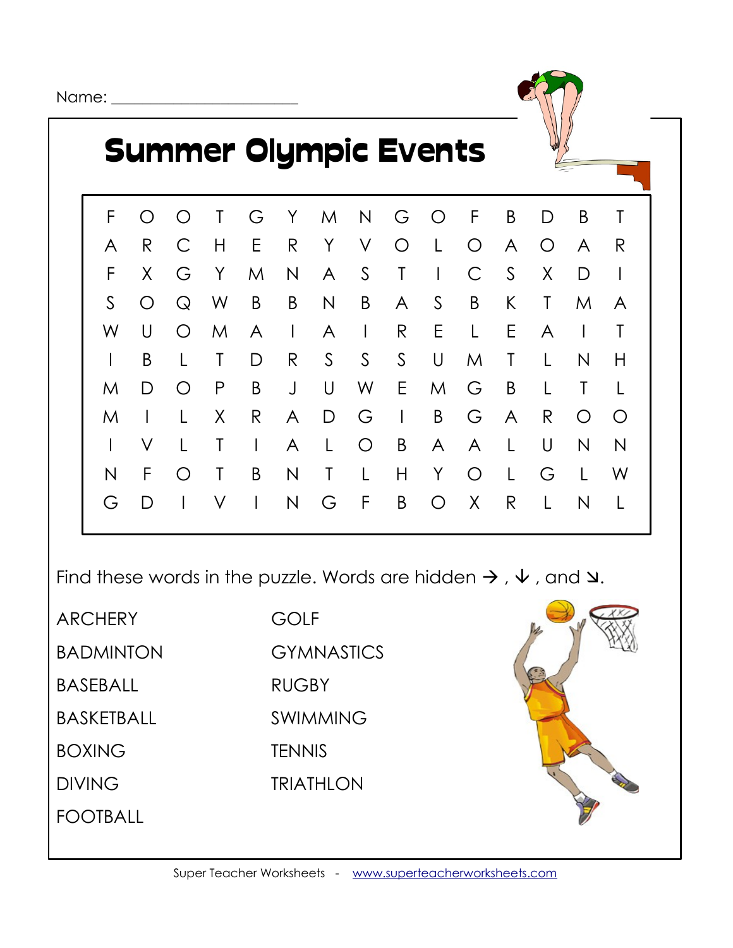Name: \_\_\_\_\_\_\_\_\_\_\_\_\_\_\_\_\_\_\_\_\_\_\_\_



## Summer Olympic Events

|              |                |              |               |                                                          |          |           |   | F O O T G Y M N G O F B |       |   |                | D B T        |              |
|--------------|----------------|--------------|---------------|----------------------------------------------------------|----------|-----------|---|-------------------------|-------|---|----------------|--------------|--------------|
| A            | R              |              | C H E R Y V   |                                                          |          |           |   | O L O A                 |       |   | $\overline{O}$ | A R          |              |
| F            |                |              | X G Y         |                                                          |          |           |   | M N A S T I C           |       | S | X              | D            |              |
| $S_{-}$      |                |              | O Q W B B N B |                                                          |          |           |   | A S B K T               |       |   |                | M            | A            |
| W            |                | $U$ O        | $M_{\odot}$   |                                                          | $A \cup$ |           |   | A I R E L E             |       |   | $\mathsf{A}$   | $\mathbb{R}$ | $\top$       |
|              | B              | $\mathsf{L}$ | $\mathsf{T}$  | D                                                        |          |           |   | R S S S U M T L         |       |   |                | N            | H            |
| M            |                | D O P        |               |                                                          |          |           |   | B J U W E M G B L       |       |   |                | $\top$       |              |
| M            | $\blacksquare$ |              | X —           |                                                          |          | R A D G I |   |                         |       |   | B G A R        | $\bigcirc$   | $\bigcirc$   |
| $\mathbf{L}$ | $\vee$         | $\mathsf{L}$ |               | $\begin{array}{ccc} \mathbf{I} & \mathbf{I} \end{array}$ |          | A L O B   |   |                         | A A L |   | U              | N            | N            |
| N            | F              |              | $O$ T         | $\mathsf{B}$                                             | N        | $\top$ L  | H | Y O L                   |       |   | G              | $\mathsf{L}$ | - W          |
| G            | D              | $\sim 1$ .   | $\vee$        |                                                          |          | INGFB     |   |                         | O X R |   | $\mathsf{L}$   | N            | $\mathbf{1}$ |

Find these words in the puzzle. Words are hidden  $\rightarrow$  ,  $\vee$  , and  $\vee$ .

**ARCHERY** BADMINTON BASEBALL

BASKETBALL

BOXING

**DIVING** 

FOOTBALL

GOLF **GYMNASTICS RUGBY** SWIMMING **TENNIS** TRIATHLON

Super Teacher Worksheets - [www.superteacherworksheets.com](http://www.superteacherworksheets.com/)